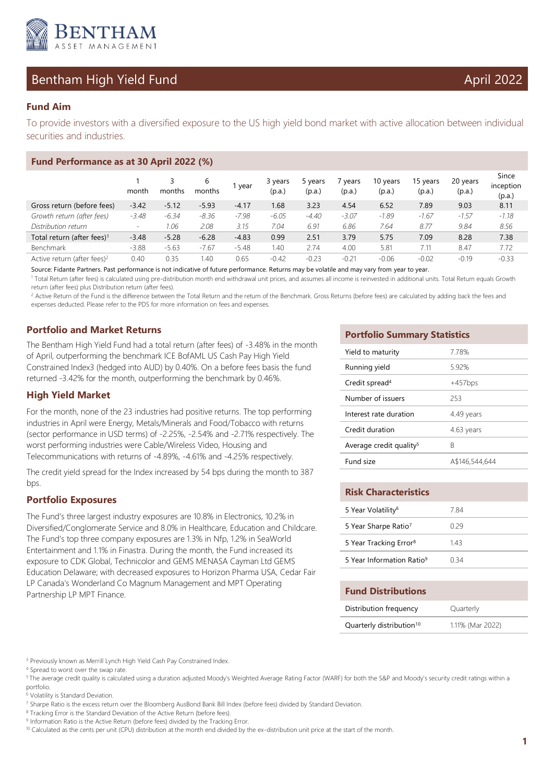

# Bentham High Yield Fund April 2022

## **Fund Aim**

To provide investors with a diversified exposure to the US high yield bond market with active allocation between individual securities and industries.

| Fund Performance as at 30 April 2022 (%) |                          |         |             |         |                   |                   |                 |                    |                    |                    |                              |
|------------------------------------------|--------------------------|---------|-------------|---------|-------------------|-------------------|-----------------|--------------------|--------------------|--------------------|------------------------------|
|                                          | month                    | months  | 6<br>months | 1 year  | 3 years<br>(p.a.) | 5 years<br>(p.a.) | vears<br>(p.a.) | 10 years<br>(p.a.) | 15 years<br>(p.a.) | 20 years<br>(p.a.) | Since<br>inception<br>(p.a.) |
| Gross return (before fees)               | $-3.42$                  | $-5.12$ | $-5.93$     | $-4.17$ | 1.68              | 3.23              | 4.54            | 6.52               | 7.89               | 9.03               | 8.11                         |
| Growth return (after fees)               | $-3.48$                  | $-6.34$ | $-8.36$     | $-7.98$ | $-6.05$           | $-4.40$           | $-3.07$         | $-1.89$            | $-1.67$            | $-1.57$            | $-1.18$                      |
| Distribution return                      | $\overline{\phantom{a}}$ | 1.06    | 2.08        | 3.15    | 7.04              | 6.91              | 6.86            | 7.64               | 8.77               | 9.84               | 8.56                         |
| Total return (after fees) <sup>1</sup>   | $-3.48$                  | $-5.28$ | $-6.28$     | $-4.83$ | 0.99              | 2.51              | 3.79            | 5.75               | 7.09               | 8.28               | 7.38                         |
| Benchmark                                | $-3.88$                  | $-5.63$ | $-7.67$     | $-5.48$ | 1.40              | 2.74              | 4.00            | 5.81               | 7.11               | 8.47               | 7.72                         |
| Active return (after fees) <sup>2</sup>  | 0.40                     | 0.35    | 1.40        | 0.65    | $-0.42$           | $-0.23$           | $-0.21$         | $-0.06$            | $-0.02$            | $-0.19$            | $-0.33$                      |

Source: Fidante Partners. Past performance is not indicative of future performance. Returns may be volatile and may vary from year to year.

<sup>1</sup> Total Return (after fees) is calculated using pre-distribution month end withdrawal unit prices, and assumes all income is reinvested in additional units. Total Return equals Growth return (after fees) plus Distribution return (after fees).

<sup>2</sup> Active Return of the Fund is the difference between the Total Return and the return of the Benchmark. Gross Returns (before fees) are calculated by adding back the fees and expenses deducted. Please refer to the PDS for more information on fees and expenses.

### **Portfolio and Market Returns**

The Bentham High Yield Fund had a total return (after fees) of -3.48% in the month of April, outperforming the benchmark ICE BofAML US Cash Pay High Yield Constrained Index3 (hedged into AUD) by 0.40%. On a before fees basis the fund returned -3.42% for the month, outperforming the benchmark by 0.46%.

### **High Yield Market**

For the month, none of the 23 industries had positive returns. The top performing industries in April were Energy, Metals/Minerals and Food/Tobacco with returns (sector performance in USD terms) of -2.25%, -2.54% and -2.71% respectively. The worst performing industries were Cable/Wireless Video, Housing and Telecommunications with returns of -4.89%, -4.61% and -4.25% respectively.

The credit yield spread for the Index increased by 54 bps during the month to 387 bps.

## **Portfolio Exposures**

The Fund's three largest industry exposures are 10.8% in Electronics, 10.2% in Diversified/Conglomerate Service and 8.0% in Healthcare, Education and Childcare. The Fund's top three company exposures are 1.3% in Nfp, 1.2% in SeaWorld Entertainment and 1.1% in Finastra. During the month, the Fund increased its exposure to CDK Global, Technicolor and GEMS MENASA Cayman Ltd GEMS Education Delaware; with decreased exposures to Horizon Pharma USA, Cedar Fair LP Canada's Wonderland Co Magnum Management and MPT Operating Partnership LP MPT Finance.

#### **Portfolio Summary Statistics**

| 7.78%          |
|----------------|
| 5.92%          |
| $+457$ bps     |
| 253            |
| 4.49 years     |
| 4.63 years     |
| R              |
| A\$146,544,644 |
|                |

| <b>Risk Characteristics</b>           |      |
|---------------------------------------|------|
| 5 Year Volatility <sup>6</sup>        | 7 84 |
| 5 Year Sharpe Ratio <sup>7</sup>      | በ 29 |
| 5 Year Tracking Error <sup>8</sup>    | 143  |
| 5 Year Information Ratio <sup>9</sup> | በ 34 |

#### **Fund Distributions**

| Distribution frequency               | Quarterly        |
|--------------------------------------|------------------|
| Quarterly distribution <sup>10</sup> | 1.11% (Mar 2022) |

6 Volatility is Standard Deviation.

<sup>&</sup>lt;sup>3</sup> Previously known as Merrill Lynch High Yield Cash Pay Constrained Index.

<sup>4</sup> Spread to worst over the swap rate.

<sup>&</sup>lt;sup>5</sup> The average credit quality is calculated using a duration adjusted Moody's Weighted Average Rating Factor (WARF) for both the S&P and Moody's security credit ratings within a portfolio.

<sup>&</sup>lt;sup>7</sup> Sharpe Ratio is the excess return over the Bloomberg AusBond Bank Bill Index (before fees) divided by Standard Deviation.

<sup>&</sup>lt;sup>8</sup> Tracking Error is the Standard Deviation of the Active Return (before fees).

<sup>&</sup>lt;sup>9</sup> Information Ratio is the Active Return (before fees) divided by the Tracking Error.

<sup>&</sup>lt;sup>10</sup> Calculated as the cents per unit (CPU) distribution at the month end divided by the ex-distribution unit price at the start of the month.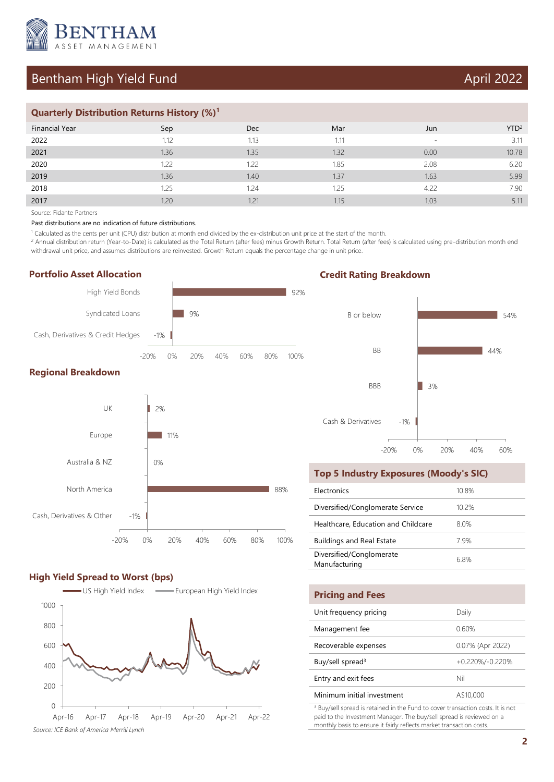

## Bentham High Yield Fund April 2022

### **Quarterly Distribution Returns History (%)<sup>1</sup>**

| Financial Year | Sep  | <b>Dec</b> | Mar  | Jun                      | YTD <sup>2</sup> |
|----------------|------|------------|------|--------------------------|------------------|
| 2022           | 1.12 | 1.13       | 1.11 | $\overline{\phantom{a}}$ | 3.11             |
| 2021           | 1.36 | 1.35       | 1.32 | 0.00                     | 10.78            |
| 2020           | 1.22 | 1.22       | 1.85 | 2.08                     | 6.20             |
| 2019           | 1.36 | 1.40       | 1.37 | 1.63                     | 5.99             |
| 2018           | 1.25 | 1.24       | 1.25 | 4.22                     | 7.90             |
| 2017           | 1.20 | 1.21       | 1.15 | 1.03                     | 5.11             |

Source: Fidante Partners

Past distributions are no indication of future distributions.

1 Calculated as the cents per unit (CPU) distribution at month end divided by the ex-distribution unit price at the start of the month.

<sup>2</sup> Annual distribution return (Year-to-Date) is calculated as the Total Return (after fees) minus Growth Return. Total Return (after fees) is calculated using pre-distribution month end withdrawal unit price, and assumes distributions are reinvested. Growth Return equals the percentage change in unit price.

#### **Portfolio Asset Allocation**





#### **High Yield Spread to Worst (bps)**



## **Credit Rating Breakdown**



#### **Top 5 Industry Exposures (Moody's SIC)**

| <b>Flectronics</b>                        | 10.8%    |
|-------------------------------------------|----------|
| Diversified/Conglomerate Service          | $10.2\%$ |
| Healthcare, Education and Childcare       | 80%      |
| <b>Buildings and Real Estate</b>          | 79%      |
| Diversified/Conglomerate<br>Manufacturing | 6.8%     |

| <b>Pricing and Fees</b>      |                  |
|------------------------------|------------------|
| Unit frequency pricing       | Daily            |
| Management fee               | 0.60%            |
| Recoverable expenses         | 0.07% (Apr 2022) |
| Buy/sell spread <sup>3</sup> | +0.220%/-0.220%  |
| Entry and exit fees          | Nil              |
| Minimum initial investment   | A\$10,000        |
| .                            |                  |

<sup>3</sup> Buy/sell spread is retained in the Fund to cover transaction costs. It is not paid to the Investment Manager. The buy/sell spread is reviewed on a monthly basis to ensure it fairly reflects market transaction costs.